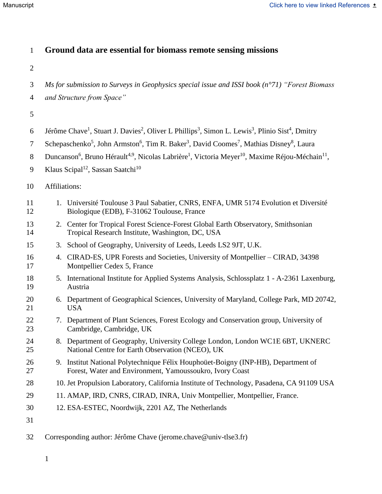| $\mathbf{1}$   | Ground data are essential for biomass remote sensing missions                                                                                                |  |  |  |  |  |  |  |
|----------------|--------------------------------------------------------------------------------------------------------------------------------------------------------------|--|--|--|--|--|--|--|
| $\overline{2}$ |                                                                                                                                                              |  |  |  |  |  |  |  |
| 3              | Ms for submission to Surveys in Geophysics special issue and ISSI book $(n^{\circ}71)$ "Forest Biomass"                                                      |  |  |  |  |  |  |  |
| 4              | and Structure from Space"                                                                                                                                    |  |  |  |  |  |  |  |
| 5              |                                                                                                                                                              |  |  |  |  |  |  |  |
| 6              | Jérôme Chave <sup>1</sup> , Stuart J. Davies <sup>2</sup> , Oliver L Phillips <sup>3</sup> , Simon L. Lewis <sup>3</sup> , Plinio Sist <sup>4</sup> , Dmitry |  |  |  |  |  |  |  |
| $\tau$         | Schepaschenko <sup>5</sup> , John Armston <sup>6</sup> , Tim R. Baker <sup>3</sup> , David Coomes <sup>7</sup> , Mathias Disney <sup>8</sup> , Laura         |  |  |  |  |  |  |  |
| 8              | Duncanson <sup>6</sup> , Bruno Hérault <sup>4,9</sup> , Nicolas Labrière <sup>1</sup> , Victoria Meyer <sup>10</sup> , Maxime Réjou-Méchain <sup>11</sup> ,  |  |  |  |  |  |  |  |
| 9              | Klaus Scipal <sup>12</sup> , Sassan Saatchi <sup>10</sup>                                                                                                    |  |  |  |  |  |  |  |
| 10             | Affiliations:                                                                                                                                                |  |  |  |  |  |  |  |
| 11<br>12       | 1. Université Toulouse 3 Paul Sabatier, CNRS, ENFA, UMR 5174 Evolution et Diversité<br>Biologique (EDB), F-31062 Toulouse, France                            |  |  |  |  |  |  |  |
| 13<br>14       | 2. Center for Tropical Forest Science-Forest Global Earth Observatory, Smithsonian<br>Tropical Research Institute, Washington, DC, USA                       |  |  |  |  |  |  |  |
| 15             | 3. School of Geography, University of Leeds, Leeds LS2 9JT, U.K.                                                                                             |  |  |  |  |  |  |  |
| 16<br>17       | 4. CIRAD-ES, UPR Forests and Societies, University of Montpellier – CIRAD, 34398<br>Montpellier Cedex 5, France                                              |  |  |  |  |  |  |  |
| 18<br>19       | 5. International Institute for Applied Systems Analysis, Schlossplatz 1 - A-2361 Laxenburg,<br>Austria                                                       |  |  |  |  |  |  |  |
| 20<br>21       | Department of Geographical Sciences, University of Maryland, College Park, MD 20742,<br>6.<br><b>USA</b>                                                     |  |  |  |  |  |  |  |
| 22<br>23       | 7. Department of Plant Sciences, Forest Ecology and Conservation group, University of<br>Cambridge, Cambridge, UK                                            |  |  |  |  |  |  |  |
| 24<br>25       | Department of Geography, University College London, London WC1E 6BT, UKNERC<br>8.<br>National Centre for Earth Observation (NCEO), UK                        |  |  |  |  |  |  |  |
| 26<br>27       | 9. Institut National Polytechnique Félix Houphoüet-Boigny (INP-HB), Department of<br>Forest, Water and Environment, Yamoussoukro, Ivory Coast                |  |  |  |  |  |  |  |
| 28             | 10. Jet Propulsion Laboratory, California Institute of Technology, Pasadena, CA 91109 USA                                                                    |  |  |  |  |  |  |  |
| 29             | 11. AMAP, IRD, CNRS, CIRAD, INRA, Univ Montpellier, Montpellier, France.                                                                                     |  |  |  |  |  |  |  |
| 30             | 12. ESA-ESTEC, Noordwijk, 2201 AZ, The Netherlands                                                                                                           |  |  |  |  |  |  |  |
| 31             |                                                                                                                                                              |  |  |  |  |  |  |  |
| 32             | Corresponding author: Jérôme Chave (jerome.chave@univ-tlse3.fr)                                                                                              |  |  |  |  |  |  |  |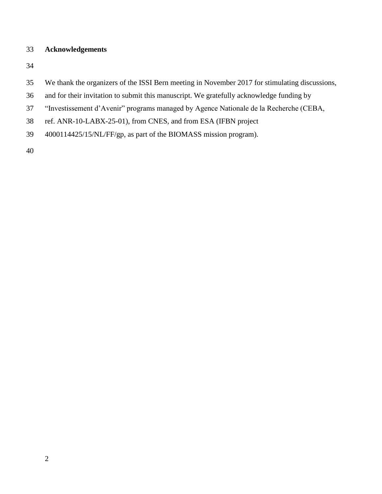# **Acknowledgements**

- We thank the organizers of the ISSI Bern meeting in November 2017 for stimulating discussions,
- and for their invitation to submit this manuscript. We gratefully acknowledge funding by
- "Investissement d'Avenir" programs managed by Agence Nationale de la Recherche (CEBA,
- ref. ANR-10-LABX-25-01), from CNES, and from ESA (IFBN project
- 4000114425/15/NL/FF/gp, as part of the BIOMASS mission program).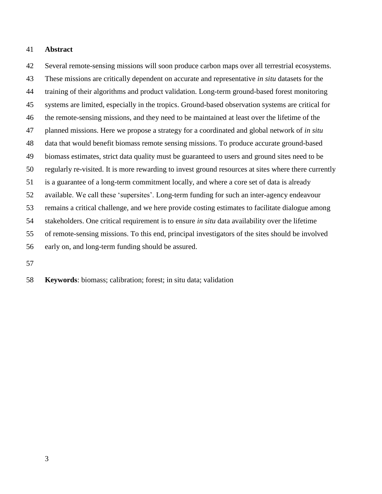#### **Abstract**

 Several remote-sensing missions will soon produce carbon maps over all terrestrial ecosystems. These missions are critically dependent on accurate and representative *in situ* datasets for the training of their algorithms and product validation. Long-term ground-based forest monitoring systems are limited, especially in the tropics. Ground-based observation systems are critical for the remote-sensing missions, and they need to be maintained at least over the lifetime of the planned missions. Here we propose a strategy for a coordinated and global network of *in situ*  data that would benefit biomass remote sensing missions. To produce accurate ground-based biomass estimates, strict data quality must be guaranteed to users and ground sites need to be regularly re-visited. It is more rewarding to invest ground resources at sites where there currently is a guarantee of a long-term commitment locally, and where a core set of data is already available. We call these 'supersites'. Long-term funding for such an inter-agency endeavour remains a critical challenge, and we here provide costing estimates to facilitate dialogue among stakeholders. One critical requirement is to ensure *in situ* data availability over the lifetime of remote-sensing missions. To this end, principal investigators of the sites should be involved early on, and long-term funding should be assured.

**Keywords**: biomass; calibration; forest; in situ data; validation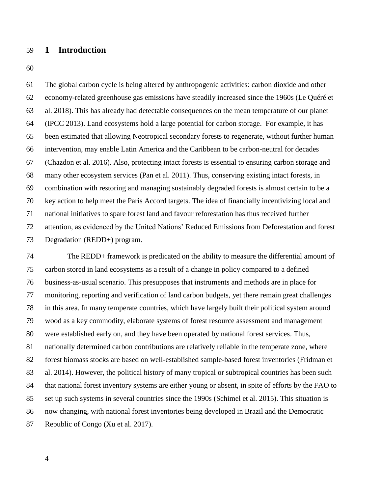# **1 Introduction**

 The global carbon cycle is being altered by anthropogenic activities: carbon dioxide and other economy-related greenhouse gas emissions have steadily increased since the 1960s (Le Quéré et al. 2018). This has already had detectable consequences on the mean temperature of our planet (IPCC 2013). Land ecosystems hold a large potential for carbon storage. For example, it has been estimated that allowing Neotropical secondary forests to regenerate, without further human intervention, may enable Latin America and the Caribbean to be carbon-neutral for decades (Chazdon et al. 2016). Also, protecting intact forests is essential to ensuring carbon storage and many other ecosystem services (Pan et al. 2011). Thus, conserving existing intact forests, in combination with restoring and managing sustainably degraded forests is almost certain to be a key action to help meet the Paris Accord targets. The idea of financially incentivizing local and national initiatives to spare forest land and favour reforestation has thus received further attention, as evidenced by the United Nations' Reduced Emissions from Deforestation and forest Degradation (REDD+) program.

 The REDD+ framework is predicated on the ability to measure the differential amount of carbon stored in land ecosystems as a result of a change in policy compared to a defined business-as-usual scenario. This presupposes that instruments and methods are in place for monitoring, reporting and verification of land carbon budgets, yet there remain great challenges in this area. In many temperate countries, which have largely built their political system around wood as a key commodity, elaborate systems of forest resource assessment and management were established early on, and they have been operated by national forest services. Thus, nationally determined carbon contributions are relatively reliable in the temperate zone, where forest biomass stocks are based on well-established sample-based forest inventories (Fridman et 83 al. 2014). However, the political history of many tropical or subtropical countries has been such that national forest inventory systems are either young or absent, in spite of efforts by the FAO to set up such systems in several countries since the 1990s (Schimel et al. 2015). This situation is now changing, with national forest inventories being developed in Brazil and the Democratic Republic of Congo (Xu et al. 2017).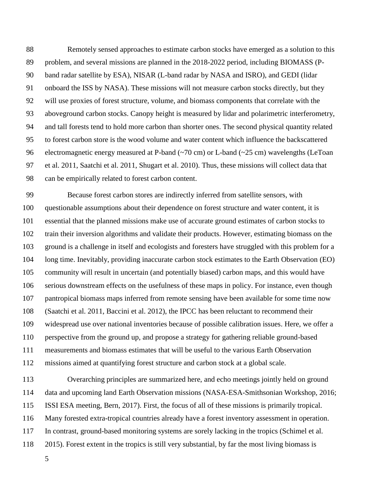Remotely sensed approaches to estimate carbon stocks have emerged as a solution to this problem, and several missions are planned in the 2018-2022 period, including BIOMASS (P- band radar satellite by ESA), NISAR (L-band radar by NASA and ISRO), and GEDI (lidar onboard the ISS by NASA). These missions will not measure carbon stocks directly, but they will use proxies of forest structure, volume, and biomass components that correlate with the aboveground carbon stocks. Canopy height is measured by lidar and polarimetric interferometry, and tall forests tend to hold more carbon than shorter ones. The second physical quantity related to forest carbon store is the wood volume and water content which influence the backscattered electromagnetic energy measured at P-band (~70 cm) or L-band (~25 cm) wavelengths (LeToan et al. 2011, Saatchi et al. 2011, Shugart et al. 2010). Thus, these missions will collect data that can be empirically related to forest carbon content.

 Because forest carbon stores are indirectly inferred from satellite sensors, with questionable assumptions about their dependence on forest structure and water content, it is essential that the planned missions make use of accurate ground estimates of carbon stocks to train their inversion algorithms and validate their products. However, estimating biomass on the ground is a challenge in itself and ecologists and foresters have struggled with this problem for a long time. Inevitably, providing inaccurate carbon stock estimates to the Earth Observation (EO) community will result in uncertain (and potentially biased) carbon maps, and this would have serious downstream effects on the usefulness of these maps in policy. For instance, even though pantropical biomass maps inferred from remote sensing have been available for some time now (Saatchi et al. 2011, Baccini et al. 2012), the IPCC has been reluctant to recommend their widespread use over national inventories because of possible calibration issues. Here, we offer a perspective from the ground up, and propose a strategy for gathering reliable ground-based measurements and biomass estimates that will be useful to the various Earth Observation missions aimed at quantifying forest structure and carbon stock at a global scale.

 Overarching principles are summarized here, and echo meetings jointly held on ground data and upcoming land Earth Observation missions (NASA-ESA-Smithsonian Workshop, 2016; ISSI ESA meeting, Bern, 2017). First, the focus of all of these missions is primarily tropical. Many forested extra-tropical countries already have a forest inventory assessment in operation. In contrast, ground-based monitoring systems are sorely lacking in the tropics (Schimel et al. 2015). Forest extent in the tropics is still very substantial, by far the most living biomass is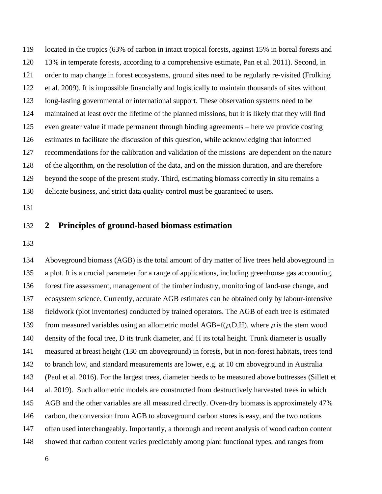located in the tropics (63% of carbon in intact tropical forests, against 15% in boreal forests and 13% in temperate forests, according to a comprehensive estimate, Pan et al. 2011). Second, in order to map change in forest ecosystems, ground sites need to be regularly re-visited (Frolking et al. 2009). It is impossible financially and logistically to maintain thousands of sites without long-lasting governmental or international support. These observation systems need to be maintained at least over the lifetime of the planned missions, but it is likely that they will find even greater value if made permanent through binding agreements – here we provide costing estimates to facilitate the discussion of this question, while acknowledging that informed recommendations for the calibration and validation of the missions are dependent on the nature of the algorithm, on the resolution of the data, and on the mission duration, and are therefore beyond the scope of the present study. Third, estimating biomass correctly in situ remains a delicate business, and strict data quality control must be guaranteed to users.

## **2 Principles of ground-based biomass estimation**

 Aboveground biomass (AGB) is the total amount of dry matter of live trees held aboveground in a plot. It is a crucial parameter for a range of applications, including greenhouse gas accounting, forest fire assessment, management of the timber industry, monitoring of land-use change, and ecosystem science. Currently, accurate AGB estimates can be obtained only by labour-intensive fieldwork (plot inventories) conducted by trained operators. The AGB of each tree is estimated 139 from measured variables using an allometric model AGB=f( $\rho$ ,D,H), where  $\rho$  is the stem wood density of the focal tree, D its trunk diameter, and H its total height. Trunk diameter is usually measured at breast height (130 cm aboveground) in forests, but in non-forest habitats, trees tend to branch low, and standard measurements are lower, e.g. at 10 cm aboveground in Australia (Paul et al. 2016). For the largest trees, diameter needs to be measured above buttresses (Sillett et al. 2019). Such allometric models are constructed from destructively harvested trees in which AGB and the other variables are all measured directly. Oven-dry biomass is approximately 47% carbon, the conversion from AGB to aboveground carbon stores is easy, and the two notions often used interchangeably. Importantly, a thorough and recent analysis of wood carbon content showed that carbon content varies predictably among plant functional types, and ranges from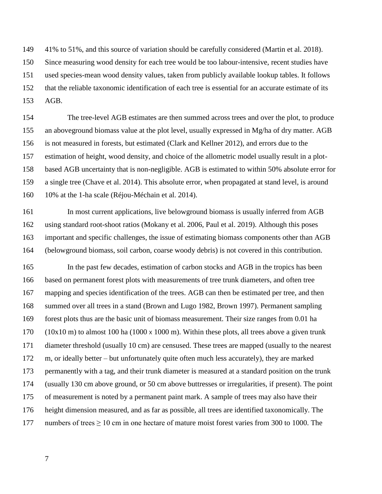41% to 51%, and this source of variation should be carefully considered (Martin et al. 2018).

Since measuring wood density for each tree would be too labour-intensive, recent studies have

 used species-mean wood density values, taken from publicly available lookup tables. It follows that the reliable taxonomic identification of each tree is essential for an accurate estimate of its AGB.

 The tree-level AGB estimates are then summed across trees and over the plot, to produce an aboveground biomass value at the plot level, usually expressed in Mg/ha of dry matter. AGB is not measured in forests, but estimated (Clark and Kellner 2012), and errors due to the estimation of height, wood density, and choice of the allometric model usually result in a plot- based AGB uncertainty that is non-negligible. AGB is estimated to within 50% absolute error for a single tree (Chave et al. 2014). This absolute error, when propagated at stand level, is around 10% at the 1-ha scale (Réjou-Méchain et al. 2014).

 In most current applications, live belowground biomass is usually inferred from AGB using standard root-shoot ratios (Mokany et al. 2006, Paul et al. 2019). Although this poses important and specific challenges, the issue of estimating biomass components other than AGB (belowground biomass, soil carbon, coarse woody debris) is not covered in this contribution.

 In the past few decades, estimation of carbon stocks and AGB in the tropics has been based on permanent forest plots with measurements of tree trunk diameters, and often tree mapping and species identification of the trees. AGB can then be estimated per tree, and then summed over all trees in a stand (Brown and Lugo 1982, Brown 1997). Permanent sampling forest plots thus are the basic unit of biomass measurement. Their size ranges from 0.01 ha (10x10 m) to almost 100 ha (1000 x 1000 m). Within these plots, all trees above a given trunk diameter threshold (usually 10 cm) are censused. These trees are mapped (usually to the nearest m, or ideally better – but unfortunately quite often much less accurately), they are marked permanently with a tag, and their trunk diameter is measured at a standard position on the trunk (usually 130 cm above ground, or 50 cm above buttresses or irregularities, if present). The point of measurement is noted by a permanent paint mark. A sample of trees may also have their height dimension measured, and as far as possible, all trees are identified taxonomically. The 177 numbers of trees  $\geq 10$  cm in one hectare of mature moist forest varies from 300 to 1000. The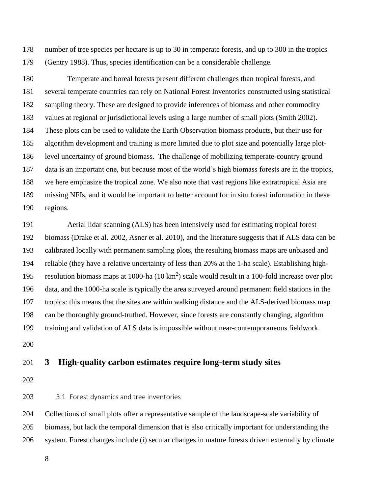number of tree species per hectare is up to 30 in temperate forests, and up to 300 in the tropics (Gentry 1988). Thus, species identification can be a considerable challenge.

 Temperate and boreal forests present different challenges than tropical forests, and several temperate countries can rely on National Forest Inventories constructed using statistical sampling theory. These are designed to provide inferences of biomass and other commodity values at regional or jurisdictional levels using a large number of small plots (Smith 2002). These plots can be used to validate the Earth Observation biomass products, but their use for algorithm development and training is more limited due to plot size and potentially large plot- level uncertainty of ground biomass. The challenge of mobilizing temperate-country ground data is an important one, but because most of the world's high biomass forests are in the tropics, we here emphasize the tropical zone. We also note that vast regions like extratropical Asia are missing NFIs, and it would be important to better account for in situ forest information in these regions.

 Aerial lidar scanning (ALS) has been intensively used for estimating tropical forest biomass (Drake et al. 2002, Asner et al. 2010), and the literature suggests that if ALS data can be calibrated locally with permanent sampling plots, the resulting biomass maps are unbiased and reliable (they have a relative uncertainty of less than 20% at the 1-ha scale). Establishing high-195 resolution biomass maps at 1000-ha  $(10 \text{ km}^2)$  scale would result in a 100-fold increase over plot data, and the 1000-ha scale is typically the area surveyed around permanent field stations in the tropics: this means that the sites are within walking distance and the ALS-derived biomass map can be thoroughly ground-truthed. However, since forests are constantly changing, algorithm training and validation of ALS data is impossible without near-contemporaneous fieldwork.

# **3 High-quality carbon estimates require long-term study sites**

3.1 Forest dynamics and tree inventories

 Collections of small plots offer a representative sample of the landscape-scale variability of biomass, but lack the temporal dimension that is also critically important for understanding the system. Forest changes include (i) secular changes in mature forests driven externally by climate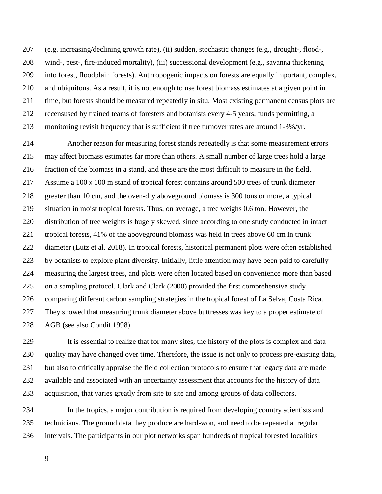(e.g. increasing/declining growth rate), (ii) sudden, stochastic changes (e.g., drought-, flood-, wind-, pest-, fire-induced mortality), (iii) successional development (e.g., savanna thickening into forest, floodplain forests). Anthropogenic impacts on forests are equally important, complex, and ubiquitous. As a result, it is not enough to use forest biomass estimates at a given point in time, but forests should be measured repeatedly in situ. Most existing permanent census plots are recensused by trained teams of foresters and botanists every 4-5 years, funds permitting, a monitoring revisit frequency that is sufficient if tree turnover rates are around 1-3%/yr.

 Another reason for measuring forest stands repeatedly is that some measurement errors may affect biomass estimates far more than others. A small number of large trees hold a large fraction of the biomass in a stand, and these are the most difficult to measure in the field. Assume a 100 x 100 m stand of tropical forest contains around 500 trees of trunk diameter greater than 10 cm, and the oven-dry aboveground biomass is 300 tons or more, a typical situation in moist tropical forests. Thus, on average, a tree weighs 0.6 ton. However, the distribution of tree weights is hugely skewed, since according to one study conducted in intact tropical forests, 41% of the aboveground biomass was held in trees above 60 cm in trunk diameter (Lutz et al. 2018). In tropical forests, historical permanent plots were often established by botanists to explore plant diversity. Initially, little attention may have been paid to carefully measuring the largest trees, and plots were often located based on convenience more than based on a sampling protocol. Clark and Clark (2000) provided the first comprehensive study comparing different carbon sampling strategies in the tropical forest of La Selva, Costa Rica. They showed that measuring trunk diameter above buttresses was key to a proper estimate of AGB (see also Condit 1998).

 It is essential to realize that for many sites, the history of the plots is complex and data quality may have changed over time. Therefore, the issue is not only to process pre-existing data, but also to critically appraise the field collection protocols to ensure that legacy data are made available and associated with an uncertainty assessment that accounts for the history of data acquisition, that varies greatly from site to site and among groups of data collectors.

 In the tropics, a major contribution is required from developing country scientists and technicians. The ground data they produce are hard-won, and need to be repeated at regular intervals. The participants in our plot networks span hundreds of tropical forested localities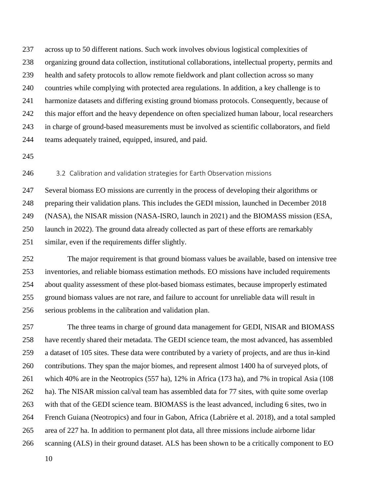across up to 50 different nations. Such work involves obvious logistical complexities of organizing ground data collection, institutional collaborations, intellectual property, permits and health and safety protocols to allow remote fieldwork and plant collection across so many countries while complying with protected area regulations. In addition, a key challenge is to harmonize datasets and differing existing ground biomass protocols. Consequently, because of 242 this major effort and the heavy dependence on often specialized human labour, local researchers in charge of ground-based measurements must be involved as scientific collaborators, and field teams adequately trained, equipped, insured, and paid.

#### 246 3.2 Calibration and validation strategies for Earth Observation missions

 Several biomass EO missions are currently in the process of developing their algorithms or preparing their validation plans. This includes the GEDI mission, launched in December 2018 (NASA), the NISAR mission (NASA-ISRO, launch in 2021) and the BIOMASS mission (ESA, launch in 2022). The ground data already collected as part of these efforts are remarkably similar, even if the requirements differ slightly.

 The major requirement is that ground biomass values be available, based on intensive tree inventories, and reliable biomass estimation methods. EO missions have included requirements about quality assessment of these plot-based biomass estimates, because improperly estimated ground biomass values are not rare, and failure to account for unreliable data will result in serious problems in the calibration and validation plan.

 The three teams in charge of ground data management for GEDI, NISAR and BIOMASS have recently shared their metadata. The GEDI science team, the most advanced, has assembled a dataset of 105 sites. These data were contributed by a variety of projects, and are thus in-kind contributions. They span the major biomes, and represent almost 1400 ha of surveyed plots, of which 40% are in the Neotropics (557 ha), 12% in Africa (173 ha), and 7% in tropical Asia (108 ha). The NISAR mission cal/val team has assembled data for 77 sites, with quite some overlap with that of the GEDI science team. BIOMASS is the least advanced, including 6 sites, two in French Guiana (Neotropics) and four in Gabon, Africa (Labrière et al. 2018), and a total sampled area of 227 ha. In addition to permanent plot data, all three missions include airborne lidar scanning (ALS) in their ground dataset. ALS has been shown to be a critically component to EO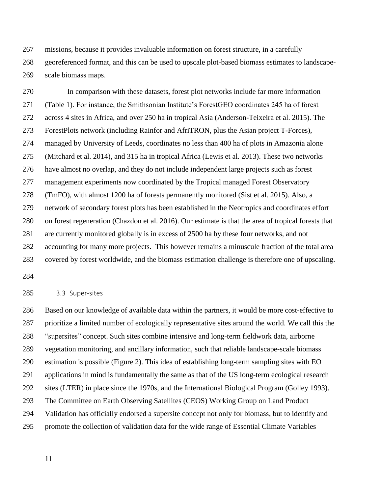missions, because it provides invaluable information on forest structure, in a carefully georeferenced format, and this can be used to upscale plot-based biomass estimates to landscape-scale biomass maps.

 In comparison with these datasets, forest plot networks include far more information (Table 1). For instance, the Smithsonian Institute's ForestGEO coordinates 245 ha of forest across 4 sites in Africa, and over 250 ha in tropical Asia (Anderson-Teixeira et al. 2015). The ForestPlots network (including Rainfor and AfriTRON, plus the Asian project T-Forces), managed by University of Leeds, coordinates no less than 400 ha of plots in Amazonia alone (Mitchard et al. 2014), and 315 ha in tropical Africa (Lewis et al. 2013). These two networks have almost no overlap, and they do not include independent large projects such as forest management experiments now coordinated by the Tropical managed Forest Observatory (TmFO), with almost 1200 ha of forests permanently monitored (Sist et al. 2015). Also, a network of secondary forest plots has been established in the Neotropics and coordinates effort on forest regeneration (Chazdon et al. 2016). Our estimate is that the area of tropical forests that are currently monitored globally is in excess of 2500 ha by these four networks, and not accounting for many more projects. This however remains a minuscule fraction of the total area covered by forest worldwide, and the biomass estimation challenge is therefore one of upscaling.

#### 3.3 Super-sites

 Based on our knowledge of available data within the partners, it would be more cost-effective to prioritize a limited number of ecologically representative sites around the world. We call this the "supersites" concept. Such sites combine intensive and long-term fieldwork data, airborne vegetation monitoring, and ancillary information, such that reliable landscape-scale biomass estimation is possible (Figure 2). This idea of establishing long-term sampling sites with EO applications in mind is fundamentally the same as that of the US long-term ecological research sites (LTER) in place since the 1970s, and the International Biological Program (Golley 1993). The Committee on Earth Observing Satellites (CEOS) Working Group on Land Product Validation has officially endorsed a supersite concept not only for biomass, but to identify and promote the collection of validation data for the wide range of Essential Climate Variables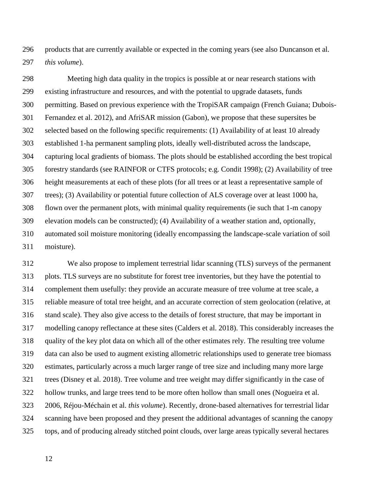products that are currently available or expected in the coming years (see also Duncanson et al. *this volume*).

 Meeting high data quality in the tropics is possible at or near research stations with existing infrastructure and resources, and with the potential to upgrade datasets, funds permitting. Based on previous experience with the TropiSAR campaign (French Guiana; Dubois- Fernandez et al. 2012), and AfriSAR mission (Gabon), we propose that these supersites be selected based on the following specific requirements: (1) Availability of at least 10 already established 1-ha permanent sampling plots, ideally well-distributed across the landscape, capturing local gradients of biomass. The plots should be established according the best tropical forestry standards (see RAINFOR or CTFS protocols; e.g. Condit 1998); (2) Availability of tree height measurements at each of these plots (for all trees or at least a representative sample of trees); (3) Availability or potential future collection of ALS coverage over at least 1000 ha, flown over the permanent plots, with minimal quality requirements (ie such that 1-m canopy elevation models can be constructed); (4) Availability of a weather station and, optionally, automated soil moisture monitoring (ideally encompassing the landscape-scale variation of soil moisture).

 We also propose to implement terrestrial lidar scanning (TLS) surveys of the permanent plots. TLS surveys are no substitute for forest tree inventories, but they have the potential to complement them usefully: they provide an accurate measure of tree volume at tree scale, a reliable measure of total tree height, and an accurate correction of stem geolocation (relative, at stand scale). They also give access to the details of forest structure, that may be important in modelling canopy reflectance at these sites (Calders et al. 2018). This considerably increases the quality of the key plot data on which all of the other estimates rely. The resulting tree volume data can also be used to augment existing allometric relationships used to generate tree biomass estimates, particularly across a much larger range of tree size and including many more large trees (Disney et al. 2018). Tree volume and tree weight may differ significantly in the case of hollow trunks, and large trees tend to be more often hollow than small ones (Nogueira et al. 2006, Réjou-Méchain et al. *this volume*). Recently, drone-based alternatives for terrestrial lidar scanning have been proposed and they present the additional advantages of scanning the canopy tops, and of producing already stitched point clouds, over large areas typically several hectares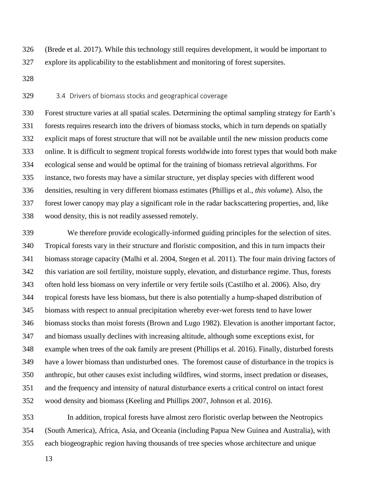(Brede et al. 2017). While this technology still requires development, it would be important to explore its applicability to the establishment and monitoring of forest supersites.

#### 3.4 Drivers of biomass stocks and geographical coverage

 Forest structure varies at all spatial scales. Determining the optimal sampling strategy for Earth's forests requires research into the drivers of biomass stocks, which in turn depends on spatially explicit maps of forest structure that will not be available until the new mission products come online. It is difficult to segment tropical forests worldwide into forest types that would both make ecological sense and would be optimal for the training of biomass retrieval algorithms. For instance, two forests may have a similar structure, yet display species with different wood densities, resulting in very different biomass estimates (Phillips et al., *this volume*). Also, the forest lower canopy may play a significant role in the radar backscattering properties, and, like wood density, this is not readily assessed remotely.

 We therefore provide ecologically-informed guiding principles for the selection of sites. Tropical forests vary in their structure and floristic composition, and this in turn impacts their biomass storage capacity (Malhi et al. 2004, Stegen et al. 2011). The four main driving factors of this variation are soil fertility, moisture supply, elevation, and disturbance regime. Thus, forests often hold less biomass on very infertile or very fertile soils (Castilho et al. 2006). Also, dry tropical forests have less biomass, but there is also potentially a hump-shaped distribution of biomass with respect to annual precipitation whereby ever-wet forests tend to have lower biomass stocks than moist forests (Brown and Lugo 1982). Elevation is another important factor, and biomass usually declines with increasing altitude, although some exceptions exist, for example when trees of the oak family are present (Phillips et al. 2016). Finally, disturbed forests have a lower biomass than undisturbed ones. The foremost cause of disturbance in the tropics is anthropic, but other causes exist including wildfires, wind storms, insect predation or diseases, and the frequency and intensity of natural disturbance exerts a critical control on intact forest wood density and biomass (Keeling and Phillips 2007, Johnson et al. 2016).

 In addition, tropical forests have almost zero floristic overlap between the Neotropics (South America), Africa, Asia, and Oceania (including Papua New Guinea and Australia), with each biogeographic region having thousands of tree species whose architecture and unique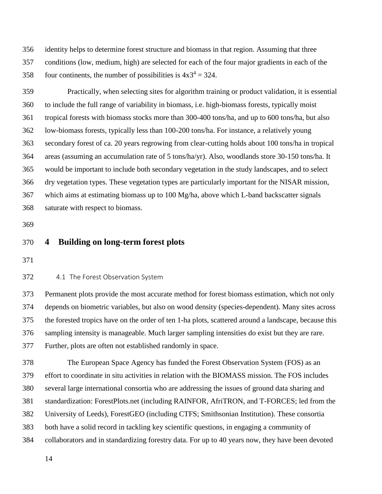identity helps to determine forest structure and biomass in that region. Assuming that three conditions (low, medium, high) are selected for each of the four major gradients in each of the 358 four continents, the number of possibilities is  $4x3^4 = 324$ .

 Practically, when selecting sites for algorithm training or product validation, it is essential to include the full range of variability in biomass, i.e. high-biomass forests, typically moist tropical forests with biomass stocks more than 300-400 tons/ha, and up to 600 tons/ha, but also low-biomass forests, typically less than 100-200 tons/ha. For instance, a relatively young secondary forest of ca. 20 years regrowing from clear-cutting holds about 100 tons/ha in tropical areas (assuming an accumulation rate of 5 tons/ha/yr). Also, woodlands store 30-150 tons/ha. It would be important to include both secondary vegetation in the study landscapes, and to select dry vegetation types. These vegetation types are particularly important for the NISAR mission, which aims at estimating biomass up to 100 Mg/ha, above which L-band backscatter signals saturate with respect to biomass.

## **4 Building on long-term forest plots**

#### 4.1 The Forest Observation System

 Permanent plots provide the most accurate method for forest biomass estimation, which not only depends on biometric variables, but also on wood density (species-dependent). Many sites across the forested tropics have on the order of ten 1-ha plots, scattered around a landscape, because this sampling intensity is manageable. Much larger sampling intensities do exist but they are rare. Further, plots are often not established randomly in space.

 The European Space Agency has funded the Forest Observation System (FOS) as an effort to coordinate in situ activities in relation with the BIOMASS mission. The FOS includes several large international consortia who are addressing the issues of ground data sharing and standardization: ForestPlots.net (including RAINFOR, AfriTRON, and T-FORCES; led from the University of Leeds), ForestGEO (including CTFS; Smithsonian Institution). These consortia both have a solid record in tackling key scientific questions, in engaging a community of collaborators and in standardizing forestry data. For up to 40 years now, they have been devoted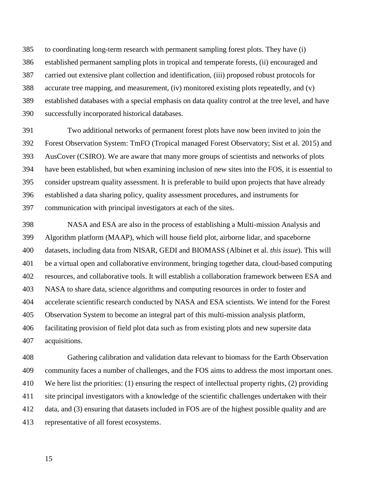to coordinating long-term research with permanent sampling forest plots. They have (i) established permanent sampling plots in tropical and temperate forests, (ii) encouraged and carried out extensive plant collection and identification, (iii) proposed robust protocols for accurate tree mapping, and measurement, (iv) monitored existing plots repeatedly, and (v) established databases with a special emphasis on data quality control at the tree level, and have successfully incorporated historical databases.

 Two additional networks of permanent forest plots have now been invited to join the Forest Observation System: TmFO (Tropical managed Forest Observatory; Sist et al. 2015) and AusCover (CSIRO). We are aware that many more groups of scientists and networks of plots have been established, but when examining inclusion of new sites into the FOS, it is essential to consider upstream quality assessment. It is preferable to build upon projects that have already established a data sharing policy, quality assessment procedures, and instruments for communication with principal investigators at each of the sites.

 NASA and ESA are also in the process of establishing a Multi-mission Analysis and Algorithm platform (MAAP), which will house field plot, airborne lidar, and spaceborne datasets, including data from NISAR, GEDI and BIOMASS (Albinet et al. *this issue*). This will be a virtual open and collaborative environment, bringing together data, cloud-based computing resources, and collaborative tools. It will establish a collaboration framework between ESA and NASA to share data, science algorithms and computing resources in order to foster and accelerate scientific research conducted by NASA and ESA scientists. We intend for the Forest Observation System to become an integral part of this multi-mission analysis platform, facilitating provision of field plot data such as from existing plots and new supersite data acquisitions.

 Gathering calibration and validation data relevant to biomass for the Earth Observation community faces a number of challenges, and the FOS aims to address the most important ones. We here list the priorities: (1) ensuring the respect of intellectual property rights, (2) providing site principal investigators with a knowledge of the scientific challenges undertaken with their data, and (3) ensuring that datasets included in FOS are of the highest possible quality and are representative of all forest ecosystems.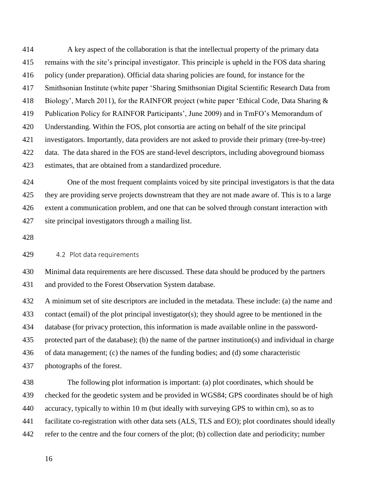A key aspect of the collaboration is that the intellectual property of the primary data remains with the site's principal investigator. This principle is upheld in the FOS data sharing policy (under preparation). Official data sharing policies are found, for instance for the Smithsonian Institute (white paper 'Sharing Smithsonian Digital Scientific Research Data from Biology', March 2011), for the RAINFOR project (white paper 'Ethical Code, Data Sharing & Publication Policy for RAINFOR Participants', June 2009) and in TmFO's Memorandum of Understanding. Within the FOS, plot consortia are acting on behalf of the site principal investigators. Importantly, data providers are not asked to provide their primary (tree-by-tree) data. The data shared in the FOS are stand-level descriptors, including aboveground biomass estimates, that are obtained from a standardized procedure.

 One of the most frequent complaints voiced by site principal investigators is that the data they are providing serve projects downstream that they are not made aware of. This is to a large extent a communication problem, and one that can be solved through constant interaction with site principal investigators through a mailing list.

4.2 Plot data requirements

 Minimal data requirements are here discussed. These data should be produced by the partners and provided to the Forest Observation System database.

 A minimum set of site descriptors are included in the metadata. These include: (a) the name and contact (email) of the plot principal investigator(s); they should agree to be mentioned in the database (for privacy protection, this information is made available online in the password- protected part of the database); (b) the name of the partner institution(s) and individual in charge of data management; (c) the names of the funding bodies; and (d) some characteristic photographs of the forest.

 The following plot information is important: (a) plot coordinates, which should be checked for the geodetic system and be provided in WGS84; GPS coordinates should be of high accuracy, typically to within 10 m (but ideally with surveying GPS to within cm), so as to facilitate co-registration with other data sets (ALS, TLS and EO); plot coordinates should ideally refer to the centre and the four corners of the plot; (b) collection date and periodicity; number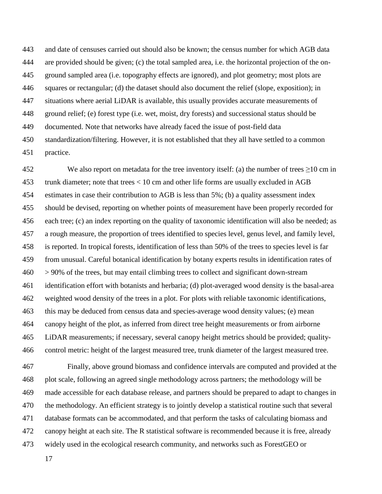and date of censuses carried out should also be known; the census number for which AGB data are provided should be given; (c) the total sampled area, i.e. the horizontal projection of the on- ground sampled area (i.e. topography effects are ignored), and plot geometry; most plots are squares or rectangular; (d) the dataset should also document the relief (slope, exposition); in situations where aerial LiDAR is available, this usually provides accurate measurements of ground relief; (e) forest type (i.e. wet, moist, dry forests) and successional status should be documented. Note that networks have already faced the issue of post-field data standardization/filtering. However, it is not established that they all have settled to a common practice.

452 We also report on metadata for the tree inventory itself: (a) the number of trees  $\geq$ 10 cm in trunk diameter; note that trees < 10 cm and other life forms are usually excluded in AGB estimates in case their contribution to AGB is less than 5%; (b) a quality assessment index should be devised, reporting on whether points of measurement have been properly recorded for each tree; (c) an index reporting on the quality of taxonomic identification will also be needed; as a rough measure, the proportion of trees identified to species level, genus level, and family level, is reported. In tropical forests, identification of less than 50% of the trees to species level is far from unusual. Careful botanical identification by botany experts results in identification rates of > 90% of the trees, but may entail climbing trees to collect and significant down-stream identification effort with botanists and herbaria; (d) plot-averaged wood density is the basal-area weighted wood density of the trees in a plot. For plots with reliable taxonomic identifications, this may be deduced from census data and species-average wood density values; (e) mean canopy height of the plot, as inferred from direct tree height measurements or from airborne LiDAR measurements; if necessary, several canopy height metrics should be provided; quality-control metric: height of the largest measured tree, trunk diameter of the largest measured tree.

 Finally, above ground biomass and confidence intervals are computed and provided at the plot scale, following an agreed single methodology across partners; the methodology will be made accessible for each database release, and partners should be prepared to adapt to changes in the methodology. An efficient strategy is to jointly develop a statistical routine such that several database formats can be accommodated, and that perform the tasks of calculating biomass and canopy height at each site. The R statistical software is recommended because it is free, already widely used in the ecological research community, and networks such as ForestGEO or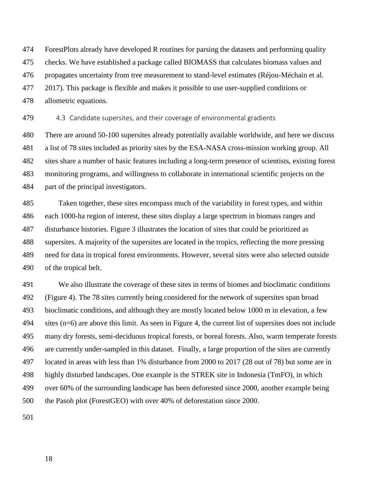ForestPlots already have developed R routines for parsing the datasets and performing quality

checks. We have established a package called BIOMASS that calculates biomass values and

propagates uncertainty from tree measurement to stand-level estimates (Réjou-Méchain et al.

- 2017). This package is flexible and makes it possible to use user-supplied conditions or
- allometric equations.

4.3 Candidate supersites, and their coverage of environmental gradients

 There are around 50-100 supersites already potentially available worldwide, and here we discuss a list of 78 sites included as priority sites by the ESA-NASA cross-mission working group. All sites share a number of basic features including a long-term presence of scientists, existing forest monitoring programs, and willingness to collaborate in international scientific projects on the part of the principal investigators.

 Taken together, these sites encompass much of the variability in forest types, and within each 1000-ha region of interest, these sites display a large spectrum in biomass ranges and disturbance histories. Figure 3 illustrates the location of sites that could be prioritized as supersites. A majority of the supersites are located in the tropics, reflecting the more pressing need for data in tropical forest environments. However, several sites were also selected outside of the tropical belt.

 We also illustrate the coverage of these sites in terms of biomes and bioclimatic conditions (Figure 4). The 78 sites currently being considered for the network of supersites span broad bioclimatic conditions, and although they are mostly located below 1000 m in elevation, a few sites (n=6) are above this limit. As seen in Figure 4, the current list of supersites does not include many dry forests, semi-deciduous tropical forests, or boreal forests. Also, warm temperate forests are currently under-sampled in this dataset. Finally, a large proportion of the sites are currently located in areas with less than 1% disturbance from 2000 to 2017 (28 out of 78) but some are in highly disturbed landscapes. One example is the STREK site in Indonesia (TmFO), in which over 60% of the surrounding landscape has been deforested since 2000, another example being the Pasoh plot (ForestGEO) with over 40% of deforestation since 2000.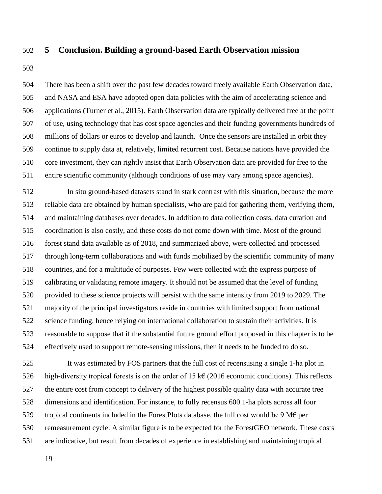## **5 Conclusion. Building a ground-based Earth Observation mission**

 There has been a shift over the past few decades toward freely available Earth Observation data, and NASA and ESA have adopted open data policies with the aim of accelerating science and applications (Turner et al., 2015). Earth Observation data are typically delivered free at the point of use, using technology that has cost space agencies and their funding governments hundreds of millions of dollars or euros to develop and launch. Once the sensors are installed in orbit they continue to supply data at, relatively, limited recurrent cost. Because nations have provided the core investment, they can rightly insist that Earth Observation data are provided for free to the entire scientific community (although conditions of use may vary among space agencies).

 In situ ground-based datasets stand in stark contrast with this situation, because the more reliable data are obtained by human specialists, who are paid for gathering them, verifying them, and maintaining databases over decades. In addition to data collection costs, data curation and coordination is also costly, and these costs do not come down with time. Most of the ground forest stand data available as of 2018, and summarized above, were collected and processed through long-term collaborations and with funds mobilized by the scientific community of many countries, and for a multitude of purposes. Few were collected with the express purpose of calibrating or validating remote imagery. It should not be assumed that the level of funding provided to these science projects will persist with the same intensity from 2019 to 2029. The majority of the principal investigators reside in countries with limited support from national science funding, hence relying on international collaboration to sustain their activities. It is reasonable to suppose that if the substantial future ground effort proposed in this chapter is to be effectively used to support remote-sensing missions, then it needs to be funded to do so.

 It was estimated by FOS partners that the full cost of recensusing a single 1-ha plot in 526 high-diversity tropical forests is on the order of 15 k $\epsilon$  (2016 economic conditions). This reflects the entire cost from concept to delivery of the highest possible quality data with accurate tree dimensions and identification. For instance, to fully recensus 600 1-ha plots across all four 529 tropical continents included in the ForestPlots database, the full cost would be 9 M $\epsilon$  per remeasurement cycle. A similar figure is to be expected for the ForestGEO network. These costs are indicative, but result from decades of experience in establishing and maintaining tropical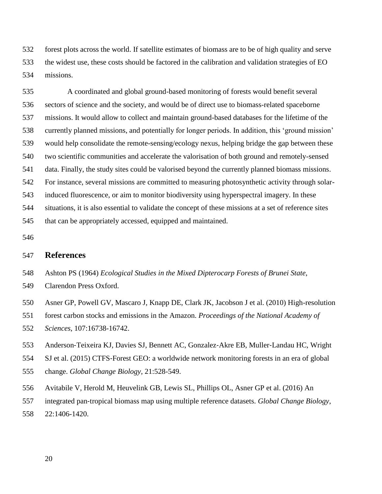forest plots across the world. If satellite estimates of biomass are to be of high quality and serve the widest use, these costs should be factored in the calibration and validation strategies of EO missions.

 A coordinated and global ground-based monitoring of forests would benefit several sectors of science and the society, and would be of direct use to biomass-related spaceborne missions. It would allow to collect and maintain ground-based databases for the lifetime of the currently planned missions, and potentially for longer periods. In addition, this 'ground mission' would help consolidate the remote-sensing/ecology nexus, helping bridge the gap between these two scientific communities and accelerate the valorisation of both ground and remotely-sensed data. Finally, the study sites could be valorised beyond the currently planned biomass missions. For instance, several missions are committed to measuring photosynthetic activity through solar- induced fluorescence, or aim to monitor biodiversity using hyperspectral imagery. In these situations, it is also essential to validate the concept of these missions at a set of reference sites that can be appropriately accessed, equipped and maintained.

# **References**

- Ashton PS (1964) *Ecological Studies in the Mixed Dipterocarp Forests of Brunei State*,
- Clarendon Press Oxford.
- Asner GP, Powell GV, Mascaro J, Knapp DE, Clark JK, Jacobson J et al. (2010) High-resolution
- forest carbon stocks and emissions in the Amazon. *Proceedings of the National Academy of*
- *Sciences*, 107:16738-16742.
- Anderson‐Teixeira KJ, Davies SJ, Bennett AC, Gonzalez‐Akre EB, Muller‐Landau HC, Wright
- SJ et al. (2015) CTFS‐Forest GEO: a worldwide network monitoring forests in an era of global
- change. *Global Change Biology*, 21:528-549.
- Avitabile V, Herold M, Heuvelink GB, Lewis SL, Phillips OL, Asner GP et al. (2016) An
- integrated pan‐tropical biomass map using multiple reference datasets. *Global Change Biology*,
- 22:1406-1420.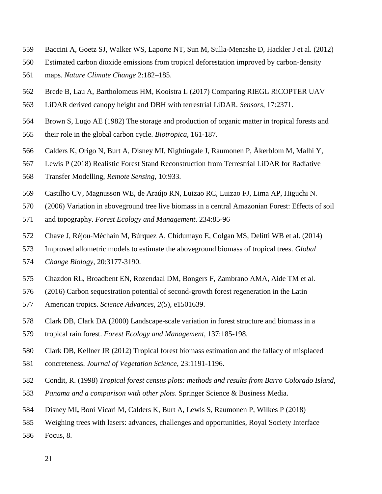- Baccini A, Goetz SJ, Walker WS, Laporte NT, Sun M, Sulla-Menashe D, Hackler J et al. (2012)
- Estimated carbon dioxide emissions from tropical deforestation improved by carbon-density
- maps. *Nature Climate Change* 2:182–185.
- Brede B, Lau A, Bartholomeus HM, Kooistra L (2017) Comparing RIEGL RiCOPTER UAV
- LiDAR derived canopy height and DBH with terrestrial LiDAR. *Sensors*, 17:2371.
- Brown S, Lugo AE (1982) The storage and production of organic matter in tropical forests and
- their role in the global carbon cycle. *Biotropica*, 161-187.
- Calders K, Origo N, Burt A, Disney MI, Nightingale J, Raumonen P, Åkerblom M, Malhi Y,
- Lewis P (2018) Realistic Forest Stand Reconstruction from Terrestrial LiDAR for Radiative
- Transfer Modelling, *Remote Sensing*, 10:933.
- Castilho CV, Magnusson WE, de Araújo RN, Luizao RC, Luizao FJ, Lima AP, Higuchi N.
- (2006) Variation in aboveground tree live biomass in a central Amazonian Forest: Effects of soil
- and topography. *Forest Ecology and Management*. 234:85-96
- Chave J, Réjou‐Méchain M, Búrquez A, Chidumayo E, Colgan MS, Delitti WB et al. (2014)
- Improved allometric models to estimate the aboveground biomass of tropical trees. *Global*
- *Change Biology*, 20:3177-3190.
- Chazdon RL, Broadbent EN, Rozendaal DM, Bongers F, Zambrano AMA, Aide TM et al.
- (2016) Carbon sequestration potential of second-growth forest regeneration in the Latin
- American tropics. *Science Advances*, *2*(5), e1501639.
- Clark DB, Clark DA (2000) Landscape-scale variation in forest structure and biomass in a
- tropical rain forest. *Forest Ecology and Management*, 137:185-198.
- Clark DB, Kellner JR (2012) Tropical forest biomass estimation and the fallacy of misplaced
- concreteness. *Journal of Vegetation Science*, 23:1191-1196.
- Condit, R. (1998) *Tropical forest census plots: methods and results from Barro Colorado Island,*
- *Panama and a comparison with other plots*. Springer Science & Business Media.
- Disney MI**,** Boni Vicari M, Calders K, Burt A, Lewis S, Raumonen P, Wilkes P (2018)
- Weighing trees with lasers: advances, challenges and opportunities, Royal Society Interface
- Focus, 8.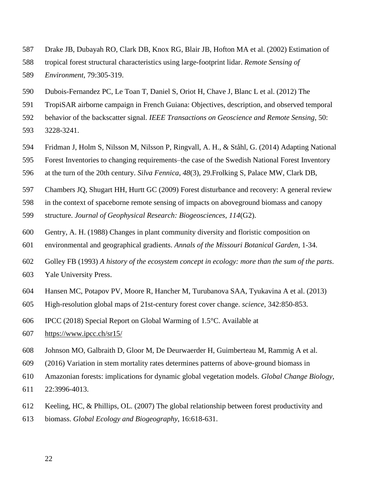- Drake JB, Dubayah RO, Clark DB, Knox RG, Blair JB, Hofton MA et al. (2002) Estimation of
- tropical forest structural characteristics using large-footprint lidar. *Remote Sensing of*
- *Environment*, 79:305-319.
- Dubois-Fernandez PC, Le Toan T, Daniel S, Oriot H, Chave J, Blanc L et al. (2012) The
- TropiSAR airborne campaign in French Guiana: Objectives, description, and observed temporal
- behavior of the backscatter signal. *IEEE Transactions on Geoscience and Remote Sensing*, 50:
- 3228-3241.
- Fridman J, Holm S, Nilsson M, Nilsson P, Ringvall, A. H., & Ståhl, G. (2014) Adapting National
- Forest Inventories to changing requirements–the case of the Swedish National Forest Inventory
- at the turn of the 20th century. *Silva Fennica*, *48*(3), 29.Frolking S, Palace MW, Clark DB,
- Chambers JQ, Shugart HH, Hurtt GC (2009) Forest disturbance and recovery: A general review
- in the context of spaceborne remote sensing of impacts on aboveground biomass and canopy
- structure. *Journal of Geophysical Research: Biogeosciences*, *114*(G2).
- Gentry, A. H. (1988) Changes in plant community diversity and floristic composition on
- environmental and geographical gradients. *Annals of the Missouri Botanical Garden*, 1-34.
- Golley FB (1993) *A history of the ecosystem concept in ecology: more than the sum of the parts*.
- Yale University Press.
- Hansen MC, Potapov PV, Moore R, Hancher M, Turubanova SAA, Tyukavina A et al. (2013)
- High-resolution global maps of 21st-century forest cover change. *science*, 342:850-853.
- 606 IPCC (2018) Special Report on Global Warming of 1.5 $^{\circ}$ C. Available at
- https://www.ipcc.ch/sr15/
- Johnson MO, Galbraith D, Gloor M, De Deurwaerder H, Guimberteau M, Rammig A et al.
- (2016) Variation in stem mortality rates determines patterns of above‐ground biomass in
- Amazonian forests: implications for dynamic global vegetation models. *Global Change Biology*,
- 22:3996-4013.
- Keeling, HC, & Phillips, OL. (2007) The global relationship between forest productivity and
- biomass. *Global Ecology and Biogeography*, 16:618-631.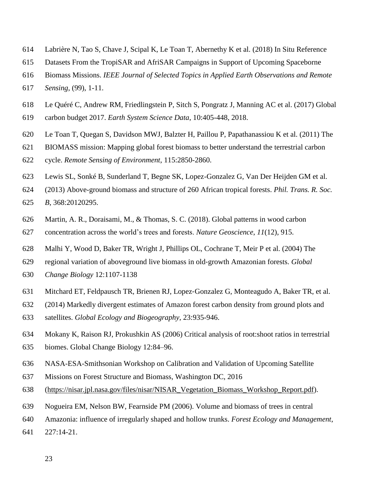- Labrière N, Tao S, Chave J, Scipal K, Le Toan T, Abernethy K et al. (2018) In Situ Reference
- Datasets From the TropiSAR and AfriSAR Campaigns in Support of Upcoming Spaceborne
- Biomass Missions. *IEEE Journal of Selected Topics in Applied Earth Observations and Remote*
- *Sensing*, (99), 1-11.
- Le Quéré C, Andrew RM, Friedlingstein P, Sitch S, Pongratz J, Manning AC et al. (2017) Global
- carbon budget 2017. *Earth System Science Data*, 10:405-448, 2018.
- Le Toan T, Quegan S, Davidson MWJ, Balzter H, Paillou P, Papathanassiou K et al. (2011) The
- BIOMASS mission: Mapping global forest biomass to better understand the terrestrial carbon
- cycle. *Remote Sensing of Environment*, 115:2850-2860.
- Lewis SL, Sonké B, Sunderland T, Begne SK, Lopez-Gonzalez G, Van Der Heijden GM et al.
- (2013) Above-ground biomass and structure of 260 African tropical forests. *Phil. Trans. R. Soc.*
- *B*, 368:20120295.
- Martin, A. R., Doraisami, M., & Thomas, S. C. (2018). Global patterns in wood carbon
- concentration across the world's trees and forests. *Nature Geoscience*, *11*(12), 915.
- Malhi Y, Wood D, Baker TR, Wright J, Phillips OL, Cochrane T, Meir P et al. (2004) The
- regional variation of aboveground live biomass in old‐growth Amazonian forests. *Global*
- *Change Biology* 12:1107-1138
- Mitchard ET, Feldpausch TR, Brienen RJ, Lopez‐Gonzalez G, Monteagudo A, Baker TR, et al.
- (2014) Markedly divergent estimates of Amazon forest carbon density from ground plots and
- satellites. *Global Ecology and Biogeography*, 23:935-946.
- Mokany K, Raison RJ, Prokushkin AS (2006) Critical analysis of root:shoot ratios in terrestrial
- biomes. Global Change Biology 12:84–96.
- NASA-ESA-Smithsonian Workshop on Calibration and Validation of Upcoming Satellite
- Missions on Forest Structure and Biomass, Washington DC, 2016
- [\(https://nisar.jpl.nasa.gov/files/nisar/NISAR\\_Vegetation\\_Biomass\\_Workshop\\_Report.pdf\)](https://nisar.jpl.nasa.gov/files/nisar/NISAR_Vegetation_Biomass_Workshop_Report.pdf).
- Nogueira EM, Nelson BW, Fearnside PM (2006). Volume and biomass of trees in central
- Amazonia: influence of irregularly shaped and hollow trunks. *Forest Ecology and Management*,
- 227:14-21.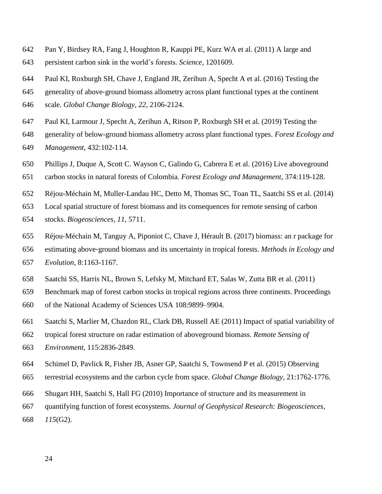- Pan Y, Birdsey RA, Fang J, Houghton R, Kauppi PE, Kurz WA et al. (2011) A large and
- persistent carbon sink in the world's forests. *Science*, 1201609.
- Paul KI, Roxburgh SH, Chave J, England JR, Zerihun A, Specht A et al. (2016) Testing the
- generality of above‐ground biomass allometry across plant functional types at the continent
- scale. *Global Change Biology*, *22*, 2106-2124.
- Paul KI, Larmour J, Specht A, Zerihun A, Ritson P, Roxburgh SH et al. (2019) Testing the
- generality of below-ground biomass allometry across plant functional types. *Forest Ecology and Management*, 432:102-114.
- 
- Phillips J, Duque A, Scott C. Wayson C, Galindo G, Cabrera E et al. (2016) Live aboveground
- carbon stocks in natural forests of Colombia. *Forest Ecology and Management*, 374:119-128.
- Réjou-Méchain M, Muller-Landau HC, Detto M, Thomas SC, Toan TL, Saatchi SS et al. (2014)
- Local spatial structure of forest biomass and its consequences for remote sensing of carbon
- stocks. *Biogeosciences*, *11*, 5711.
- Réjou‐Méchain M, Tanguy A, Piponiot C, Chave J, Hérault B. (2017) biomass: an r package for
- estimating above‐ground biomass and its uncertainty in tropical forests. *Methods in Ecology and*
- *Evolution*, 8:1163-1167.
- Saatchi SS, Harris NL, Brown S, Lefsky M, Mitchard ET, Salas W, Zutta BR et al. (2011)
- Benchmark map of forest carbon stocks in tropical regions across three continents. Proceedings
- of the National Academy of Sciences USA 108:9899–9904.
- Saatchi S, Marlier M, Chazdon RL, Clark DB, Russell AE (2011) Impact of spatial variability of
- tropical forest structure on radar estimation of aboveground biomass. *Remote Sensing of*
- *Environment*, 115:2836-2849.
- Schimel D, Pavlick R, Fisher JB, Asner GP, Saatchi S, Townsend P et al. (2015) Observing
- terrestrial ecosystems and the carbon cycle from space. *Global Change Biology*, 21:1762-1776.
- Shugart HH, Saatchi S, Hall FG (2010) Importance of structure and its measurement in
- quantifying function of forest ecosystems. *Journal of Geophysical Research: Biogeosciences*,
- *115*(G2).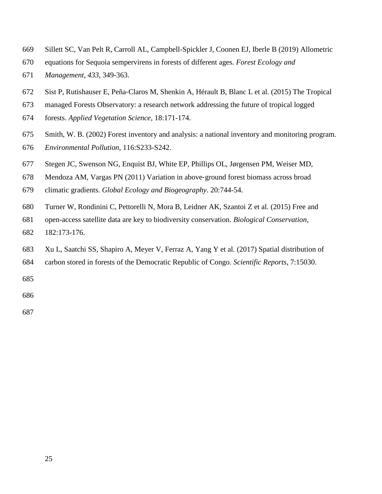- Sillett SC, Van Pelt R, Carroll AL, Campbell-Spickler J, Coonen EJ, Iberle B (2019) Allometric
- equations for Sequoia sempervirens in forests of different ages. *Forest Ecology and*
- *Management*, *433*, 349-363.
- Sist P, Rutishauser E, Peña‐Claros M, Shenkin A, Hérault B, Blanc L et al. (2015) The Tropical
- managed Forests Observatory: a research network addressing the future of tropical logged
- forests. *Applied Vegetation Science*, 18:171-174.
- Smith, W. B. (2002) Forest inventory and analysis: a national inventory and monitoring program. *Environmental Pollution*, 116:S233-S242.
- Stegen JC, Swenson NG, Enquist BJ, White EP, Phillips OL, Jørgensen PM, Weiser MD,
- Mendoza AM, Vargas PN (2011) Variation in above‐ground forest biomass across broad
- climatic gradients. *Global Ecology and Biogeography*. 20:744-54.
- Turner W, Rondinini C, Pettorelli N, Mora B, Leidner AK, Szantoi Z et al. (2015) Free and
- open-access satellite data are key to biodiversity conservation. *Biological Conservation*,
- 182:173-176.
- Xu L, Saatchi SS, Shapiro A, Meyer V, Ferraz A, Yang Y et al. (2017) Spatial distribution of
- carbon stored in forests of the Democratic Republic of Congo. *Scientific Reports*, 7:15030.
-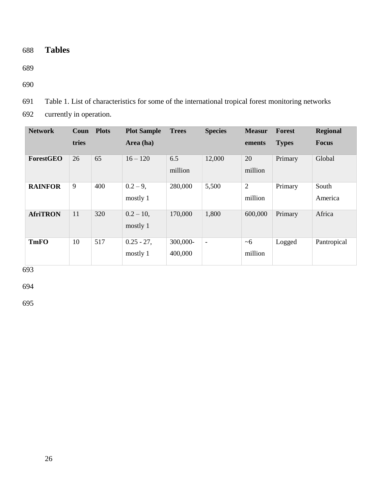# 688 **Tables**

689

690

- 691 Table 1. List of characteristics for some of the international tropical forest monitoring networks
- 692 currently in operation.

| <b>Network</b>   |       | <b>Coun</b> Plots | <b>Plot Sample</b>        | <b>Trees</b>        | <b>Species</b> | <b>Measur</b>             | Forest       | <b>Regional</b>  |
|------------------|-------|-------------------|---------------------------|---------------------|----------------|---------------------------|--------------|------------------|
|                  | tries |                   | Area (ha)                 |                     |                | ements                    | <b>Types</b> | <b>Focus</b>     |
| <b>ForestGEO</b> | 26    | 65                | $16 - 120$                | 6.5<br>million      | 12,000         | 20<br>million             | Primary      | Global           |
| <b>RAINFOR</b>   | 9     | 400               | $0.2 - 9$ ,<br>mostly 1   | 280,000             | 5,500          | $\overline{2}$<br>million | Primary      | South<br>America |
| <b>AfriTRON</b>  | 11    | 320               | $0.2 - 10$ ,<br>mostly 1  | 170,000             | 1,800          | 600,000                   | Primary      | Africa           |
| <b>TmFO</b>      | 10    | 517               | $0.25 - 27$ ,<br>mostly 1 | 300,000-<br>400,000 | $\blacksquare$ | ~1<br>million             | Logged       | Pantropical      |

693

694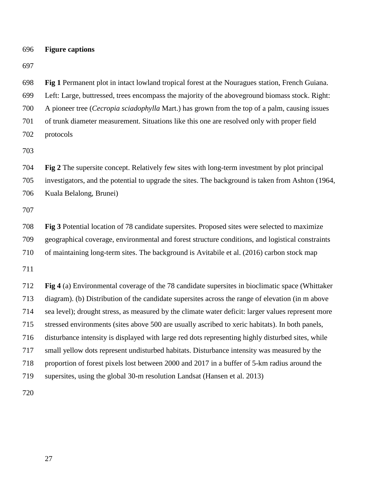**Figure captions**

**Fig 1** Permanent plot in intact lowland tropical forest at the Nouragues station, French Guiana.

Left: Large, buttressed, trees encompass the majority of the aboveground biomass stock. Right:

A pioneer tree (*Cecropia sciadophylla* Mart.) has grown from the top of a palm, causing issues

of trunk diameter measurement. Situations like this one are resolved only with proper field

protocols

 **Fig 2** The supersite concept. Relatively few sites with long-term investment by plot principal investigators, and the potential to upgrade the sites. The background is taken from Ashton (1964, Kuala Belalong, Brunei)

 **Fig 3** Potential location of 78 candidate supersites. Proposed sites were selected to maximize geographical coverage, environmental and forest structure conditions, and logistical constraints of maintaining long-term sites. The background is Avitabile et al. (2016) carbon stock map

 **Fig 4** (a) Environmental coverage of the 78 candidate supersites in bioclimatic space (Whittaker diagram). (b) Distribution of the candidate supersites across the range of elevation (in m above sea level); drought stress, as measured by the climate water deficit: larger values represent more stressed environments (sites above 500 are usually ascribed to xeric habitats). In both panels, disturbance intensity is displayed with large red dots representing highly disturbed sites, while small yellow dots represent undisturbed habitats. Disturbance intensity was measured by the proportion of forest pixels lost between 2000 and 2017 in a buffer of 5-km radius around the supersites, using the global 30-m resolution Landsat (Hansen et al. 2013)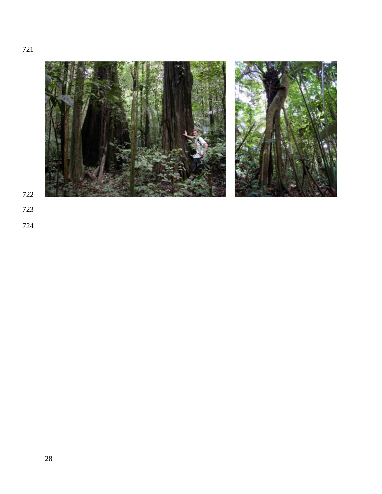

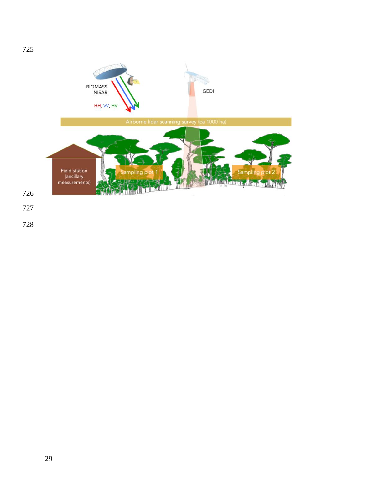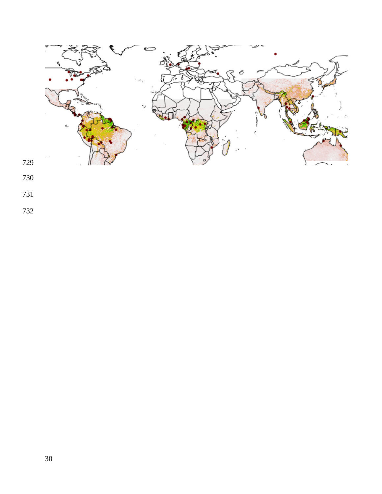